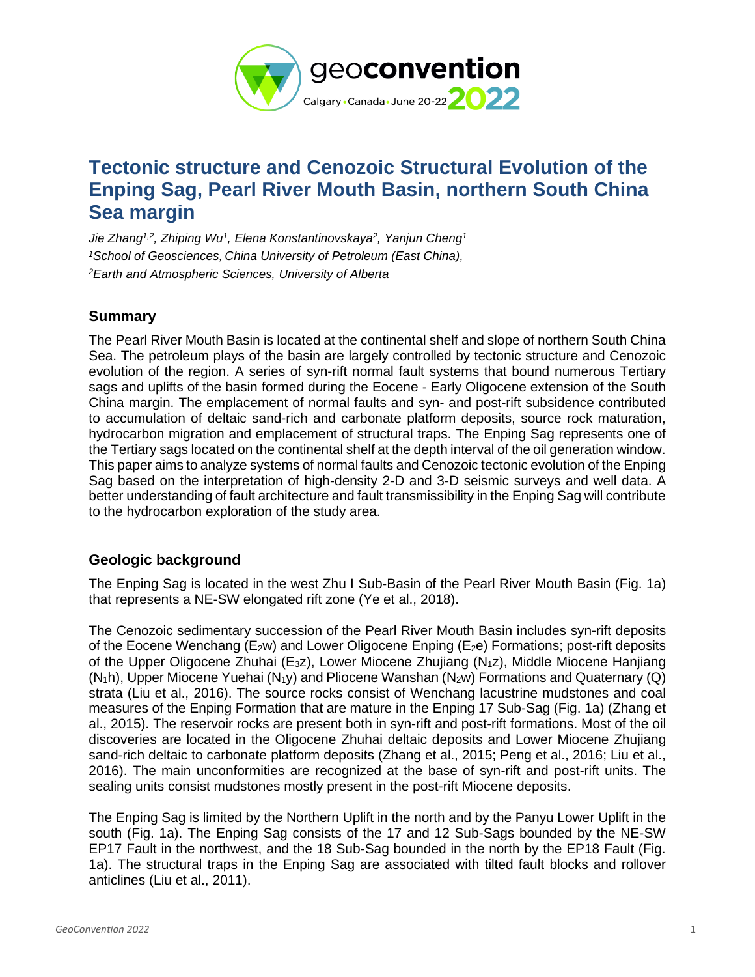

# **Tectonic structure and Cenozoic Structural Evolution of the Enping Sag, Pearl River Mouth Basin, northern South China Sea margin**

*Jie Zhang1,2 , Zhiping Wu<sup>1</sup> , Elena Konstantinovskaya<sup>2</sup> , Yanjun Cheng<sup>1</sup> <sup>1</sup>School of Geosciences, China University of Petroleum (East China), <sup>2</sup>Earth and Atmospheric Sciences, University of Alberta*

# **Summary**

The Pearl River Mouth Basin is located at the continental shelf and slope of northern South China Sea. The petroleum plays of the basin are largely controlled by tectonic structure and Cenozoic evolution of the region. A series of syn-rift normal fault systems that bound numerous Tertiary sags and uplifts of the basin formed during the Eocene - Early Oligocene extension of the South China margin. The emplacement of normal faults and syn- and post-rift subsidence contributed to accumulation of deltaic sand-rich and carbonate platform deposits, source rock maturation, hydrocarbon migration and emplacement of structural traps. The Enping Sag represents one of the Tertiary sags located on the continental shelf at the depth interval of the oil generation window. This paper aims to analyze systems of normal faults and Cenozoic tectonic evolution of the Enping Sag based on the interpretation of high-density 2-D and 3-D seismic surveys and well data. A better understanding of fault architecture and fault transmissibility in the Enping Sag will contribute to the hydrocarbon exploration of the study area.

# **Geologic background**

The Enping Sag is located in the west Zhu I Sub-Basin of the Pearl River Mouth Basin (Fig. 1a) that represents a NE-SW elongated rift zone (Ye et al., 2018).

The Cenozoic sedimentary succession of the Pearl River Mouth Basin includes syn-rift deposits of the Eocene Wenchang ( $E_2w$ ) and Lower Oligocene Enping ( $E_2e$ ) Formations; post-rift deposits of the Upper Oligocene Zhuhai (E3z), Lower Miocene Zhujiang (N1z), Middle Miocene Hanjiang  $(N_1h)$ , Upper Miocene Yuehai  $(N_1y)$  and Pliocene Wanshan  $(N_2w)$  Formations and Quaternary (Q) strata (Liu et al., 2016). The source rocks consist of Wenchang lacustrine mudstones and coal measures of the Enping Formation that are mature in the Enping 17 Sub-Sag (Fig. 1a) (Zhang et al., 2015). The reservoir rocks are present both in syn-rift and post-rift formations. Most of the oil discoveries are located in the Oligocene Zhuhai deltaic deposits and Lower Miocene Zhujiang sand-rich deltaic to carbonate platform deposits (Zhang et al., 2015; Peng et al., 2016; Liu et al., 2016). The main unconformities are recognized at the base of syn-rift and post-rift units. The sealing units consist mudstones mostly present in the post-rift Miocene deposits.

The Enping Sag is limited by the Northern Uplift in the north and by the Panyu Lower Uplift in the south (Fig. 1a). The Enping Sag consists of the 17 and 12 Sub-Sags bounded by the NE-SW EP17 Fault in the northwest, and the 18 Sub-Sag bounded in the north by the EP18 Fault (Fig. 1a). The structural traps in the Enping Sag are associated with tilted fault blocks and rollover anticlines (Liu et al., 2011).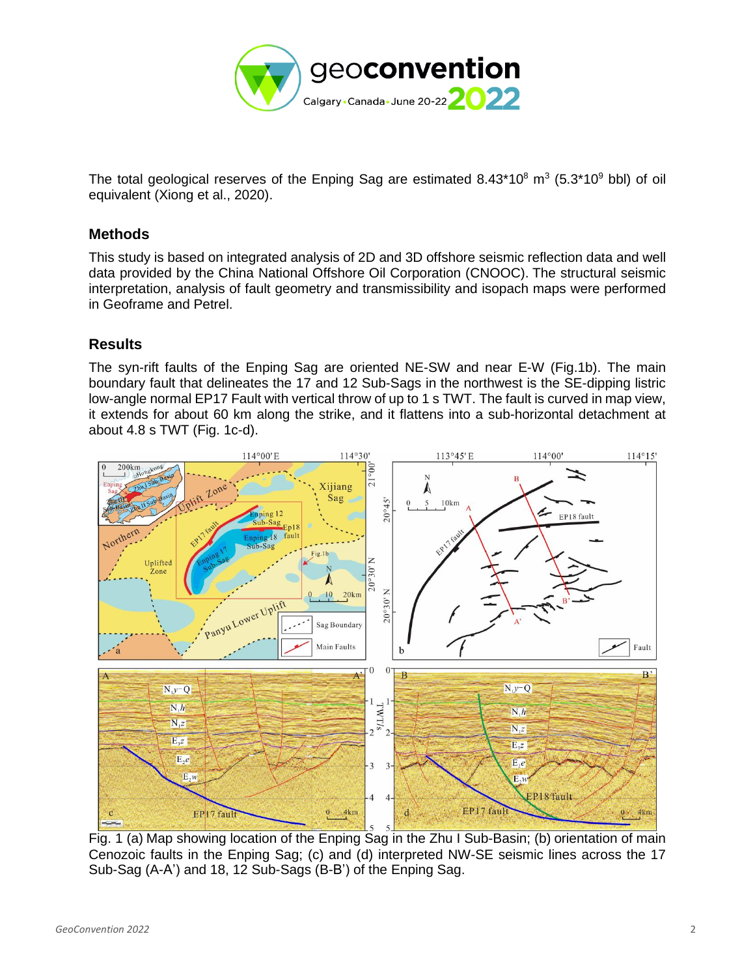

The total geological reserves of the Enping Sag are estimated 8.43\*10 $^8$  m<sup>3</sup> (5.3\*10 $^9$  bbl) of oil equivalent (Xiong et al., 2020).

### **Methods**

This study is based on integrated analysis of 2D and 3D offshore seismic reflection data and well data provided by the China National Offshore Oil Corporation (CNOOC). The structural seismic interpretation, analysis of fault geometry and transmissibility and isopach maps were performed in Geoframe and Petrel.

# **Results**

The syn-rift faults of the Enping Sag are oriented NE-SW and near E-W (Fig.1b). The main boundary fault that delineates the 17 and 12 Sub-Sags in the northwest is the SE-dipping listric low-angle normal EP17 Fault with vertical throw of up to 1 s TWT. The fault is curved in map view, it extends for about 60 km along the strike, and it flattens into a sub-horizontal detachment at about 4.8 s TWT (Fig. 1c-d).



Fig. 1 (a) Map showing location of the Enping Sag in the Zhu I Sub-Basin; (b) orientation of main Cenozoic faults in the Enping Sag; (c) and (d) interpreted NW-SE seismic lines across the 17 Sub-Sag (A-A') and 18, 12 Sub-Sags (B-B') of the Enping Sag.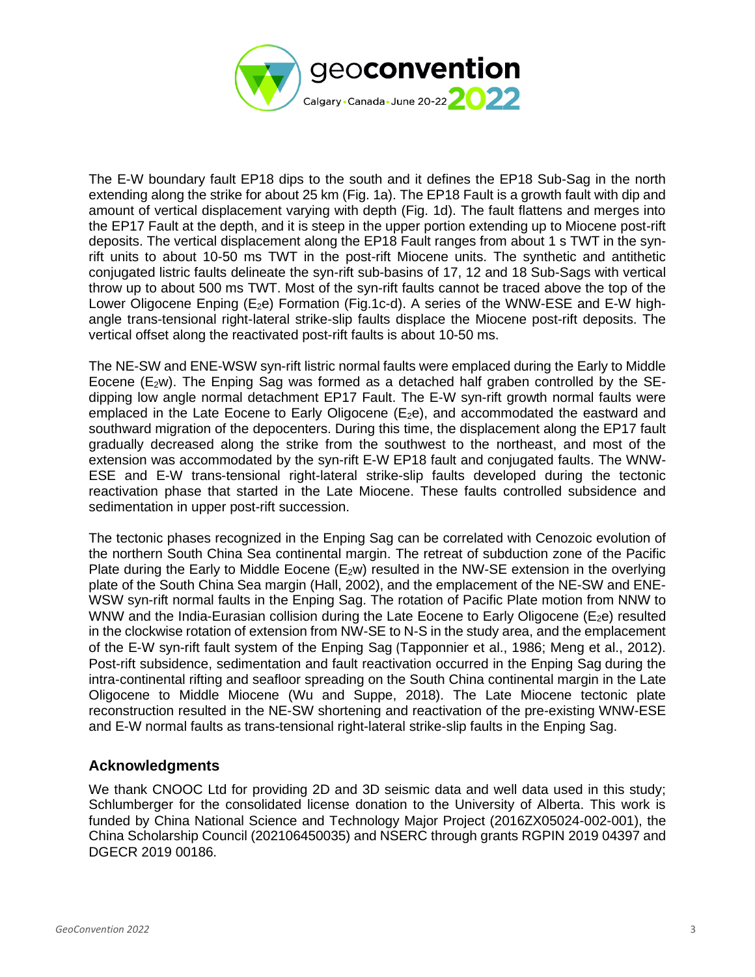

The E-W boundary fault EP18 dips to the south and it defines the EP18 Sub-Sag in the north extending along the strike for about 25 km (Fig. 1a). The EP18 Fault is a growth fault with dip and amount of vertical displacement varying with depth (Fig. 1d). The fault flattens and merges into the EP17 Fault at the depth, and it is steep in the upper portion extending up to Miocene post-rift deposits. The vertical displacement along the EP18 Fault ranges from about 1 s TWT in the synrift units to about 10-50 ms TWT in the post-rift Miocene units. The synthetic and antithetic conjugated listric faults delineate the syn-rift sub-basins of 17, 12 and 18 Sub-Sags with vertical throw up to about 500 ms TWT. Most of the syn-rift faults cannot be traced above the top of the Lower Oligocene Enping ( $E_2e$ ) Formation (Fig.1c-d). A series of the WNW-ESE and E-W highangle trans-tensional right-lateral strike-slip faults displace the Miocene post-rift deposits. The vertical offset along the reactivated post-rift faults is about 10-50 ms.

The NE-SW and ENE-WSW syn-rift listric normal faults were emplaced during the Early to Middle Eocene ( $E_2$ w). The Enping Sag was formed as a detached half graben controlled by the SEdipping low angle normal detachment EP17 Fault. The E-W syn-rift growth normal faults were emplaced in the Late Eocene to Early Oligocene  $(E_2e)$ , and accommodated the eastward and southward migration of the depocenters. During this time, the displacement along the EP17 fault gradually decreased along the strike from the southwest to the northeast, and most of the extension was accommodated by the syn-rift E-W EP18 fault and conjugated faults. The WNW-ESE and E-W trans-tensional right-lateral strike-slip faults developed during the tectonic reactivation phase that started in the Late Miocene. These faults controlled subsidence and sedimentation in upper post-rift succession.

The tectonic phases recognized in the Enping Sag can be correlated with Cenozoic evolution of the northern South China Sea continental margin. The retreat of subduction zone of the Pacific Plate during the Early to Middle Eocene ( $E_2$ w) resulted in the NW-SE extension in the overlying plate of the South China Sea margin (Hall, 2002), and the emplacement of the NE-SW and ENE-WSW syn-rift normal faults in the Enping Sag. The rotation of Pacific Plate motion from NNW to WNW and the India-Eurasian collision during the Late Eocene to Early Oligocene ( $E_2e$ ) resulted in the clockwise rotation of extension from NW-SE to N-S in the study area, and the emplacement of the E-W syn-rift fault system of the Enping Sag (Tapponnier et al., 1986; Meng et al., 2012). Post-rift subsidence, sedimentation and fault reactivation occurred in the Enping Sag during the intra-continental rifting and seafloor spreading on the South China continental margin in the Late Oligocene to Middle Miocene (Wu and Suppe, 2018). The Late Miocene tectonic plate reconstruction resulted in the NE-SW shortening and reactivation of the pre-existing WNW-ESE and E-W normal faults as trans-tensional right-lateral strike-slip faults in the Enping Sag.

# **Acknowledgments**

We thank CNOOC Ltd for providing 2D and 3D seismic data and well data used in this study; Schlumberger for the consolidated license donation to the University of Alberta. This work is funded by China National Science and Technology Major Project (2016ZX05024-002-001), the China Scholarship Council (202106450035) and NSERC through grants RGPIN 2019 04397 and DGECR 2019 00186.